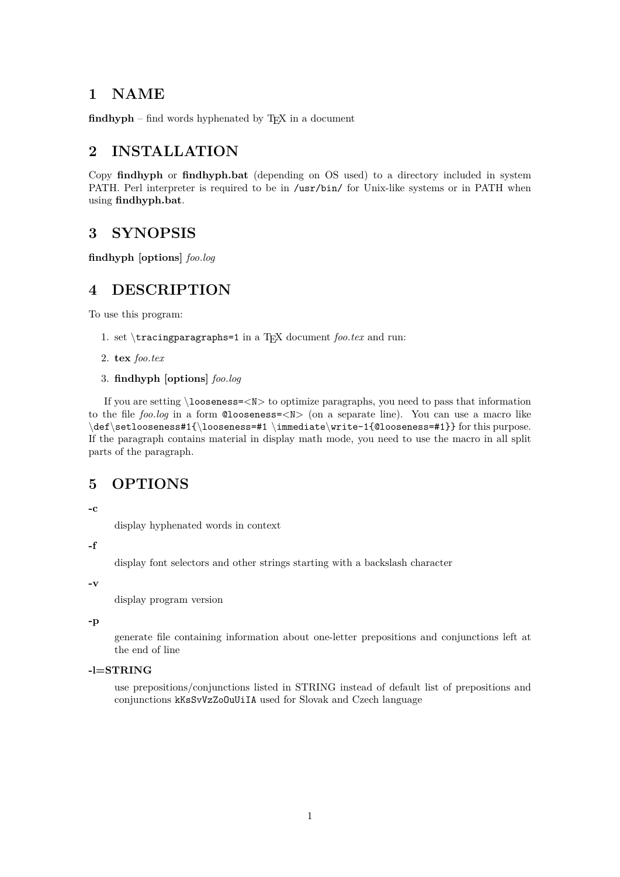## **1 NAME**

 $findhyph$  – find words hyphenated by  $TEX$  in a document

# **2 INSTALLATION**

Copy **findhyph** or **findhyph.bat** (depending on OS used) to a directory included in system PATH. Perl interpreter is required to be in /usr/bin/ for Unix-like systems or in PATH when using **findhyph.bat**.

# **3 SYNOPSIS**

**findhyph [options]** *foo.log*

# **4 DESCRIPTION**

To use this program:

- 1. set *\*tracingparagraphs=1 in a TEX document *foo.tex* and run:
- 2. **tex** *foo.tex*
- 3. **findhyph [options]** *foo.log*

If you are setting *\*looseness=*<*N*>* to optimize paragraphs, you need to pass that information to the file *foo.log* in a form @looseness=*<*N*>* (on a separate line). You can use a macro like *\*def*\*setlooseness#1{*\*looseness=#1 *\*immediate*\*write-1{@looseness=#1}} for this purpose. If the paragraph contains material in display math mode, you need to use the macro in all split parts of the paragraph.

## **5 OPTIONS**

**-c**

display hyphenated words in context

**-f**

display font selectors and other strings starting with a backslash character

**-v**

display program version

**-p**

generate file containing information about one-letter prepositions and conjunctions left at the end of line

#### **-l=STRING**

use prepositions/conjunctions listed in STRING instead of default list of prepositions and conjunctions kKsSvVzZoOuUiIA used for Slovak and Czech language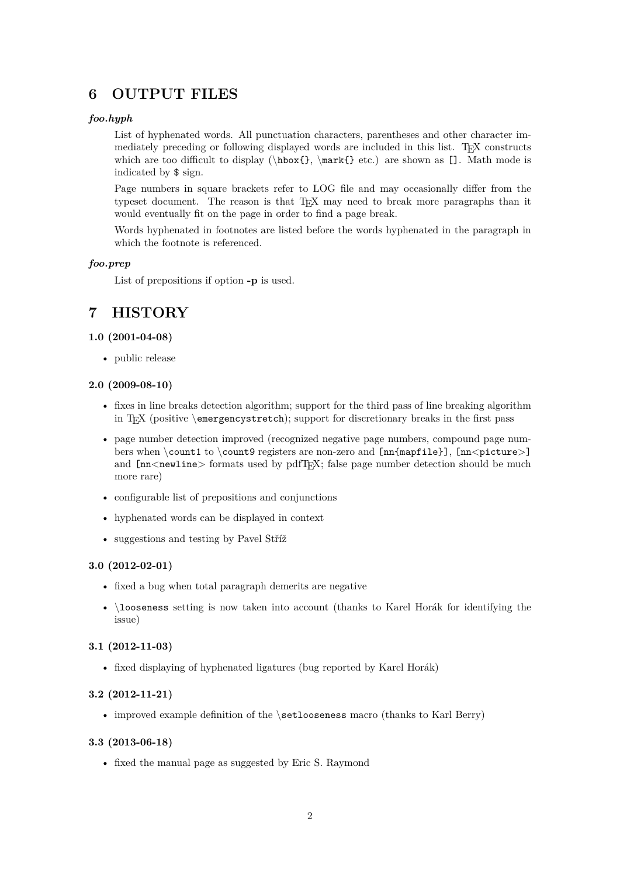# **6 OUTPUT FILES**

### *foo.hyph*

List of hyphenated words. All punctuation characters, parentheses and other character immediately preceding or following displayed words are included in this list. TEX constructs which are too difficult to display ( $\hbar$ ,  $\mark$ },  $\ark$  etc.) are shown as []. Math mode is indicated by \$ sign.

Page numbers in square brackets refer to LOG file and may occasionally differ from the typeset document. The reason is that TEX may need to break more paragraphs than it would eventually fit on the page in order to find a page break.

Words hyphenated in footnotes are listed before the words hyphenated in the paragraph in which the footnote is referenced.

### *foo.prep*

List of prepositions if option **-p** is used.

# **7 HISTORY**

### **1.0 (2001-04-08)**

• public release

#### **2.0 (2009-08-10)**

- fixes in line breaks detection algorithm; support for the third pass of line breaking algorithm in TEX (positive *\*emergencystretch); support for discretionary breaks in the first pass
- page number detection improved (recognized negative page numbers, compound page numbers when *\*count1 to *\*count9 registers are non-zero and [nn{mapfile}], [nn*<*picture*>*] and  ${\rm Im}$ <newline> formats used by pdfT<sub>E</sub>X; false page number detection should be much more rare)
- configurable list of prepositions and conjunctions
- hyphenated words can be displayed in context
- suggestions and testing by Pavel Stříž

### **3.0 (2012-02-01)**

- fixed a bug when total paragraph demerits are negative
- *\*looseness setting is now taken into account (thanks to Karel Horák for identifying the issue)

### **3.1 (2012-11-03)**

• fixed displaying of hyphenated ligatures (bug reported by Karel Horák)

#### **3.2 (2012-11-21)**

• improved example definition of the *\*setlooseness macro (thanks to Karl Berry)

#### **3.3 (2013-06-18)**

• fixed the manual page as suggested by Eric S. Raymond